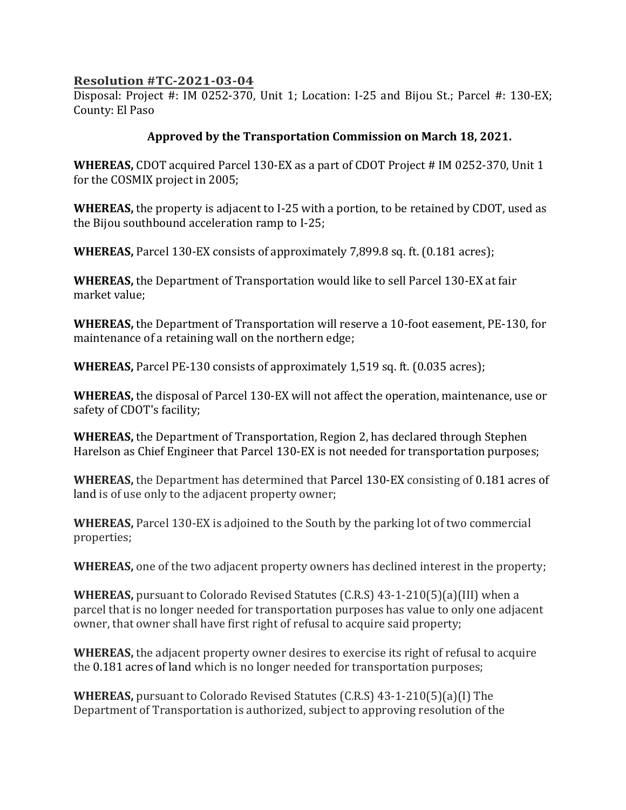## **Resolution #TC-2021-03-04**

Disposal: Project #: IM 0252-370, Unit 1; Location: I-25 and Bijou St.; Parcel #: 130-EX; County: El Paso

## **Approved by the Transportation Commission on March 18, 2021.**

**WHEREAS,** CDOT acquired Parcel 130-EX as a part of CDOT Project # IM 0252-370, Unit 1 for the COSMIX project in 2005;

**WHEREAS,** the property is adjacent to I-25 with a portion, to be retained by CDOT, used as the Bijou southbound acceleration ramp to I-25;

**WHEREAS,** Parcel 130-EX consists of approximately 7,899.8 sq. ft. (0.181 acres);

**WHEREAS,** the Department of Transportation would like to sell Parcel 130-EX at fair market value;

**WHEREAS,** the Department of Transportation will reserve a 10-foot easement, PE-130, for maintenance of a retaining wall on the northern edge;

**WHEREAS,** Parcel PE-130 consists of approximately 1,519 sq. ft. (0.035 acres);

**WHEREAS,** the disposal of Parcel 130-EX will not affect the operation, maintenance, use or safety of CDOT's facility;

**WHEREAS,** the Department of Transportation, Region 2, has declared through Stephen Harelson as Chief Engineer that Parcel 130-EX is not needed for transportation purposes;

**WHEREAS,** the Department has determined that Parcel 130-EX consisting of 0.181 acres of land is of use only to the adjacent property owner;

**WHEREAS,** Parcel 130-EX is adjoined to the South by the parking lot of two commercial properties;

**WHEREAS,** one of the two adjacent property owners has declined interest in the property;

**WHEREAS,** pursuant to Colorado Revised Statutes (C.R.S) 43-1-210(5)(a)(III) when a parcel that is no longer needed for transportation purposes has value to only one adjacent owner, that owner shall have first right of refusal to acquire said property;

**WHEREAS,** the adjacent property owner desires to exercise its right of refusal to acquire the 0.181 acres of land which is no longer needed for transportation purposes;

**WHEREAS,** pursuant to Colorado Revised Statutes (C.R.S) 43-1-210(5)(a)(I) The Department of Transportation is authorized, subject to approving resolution of the